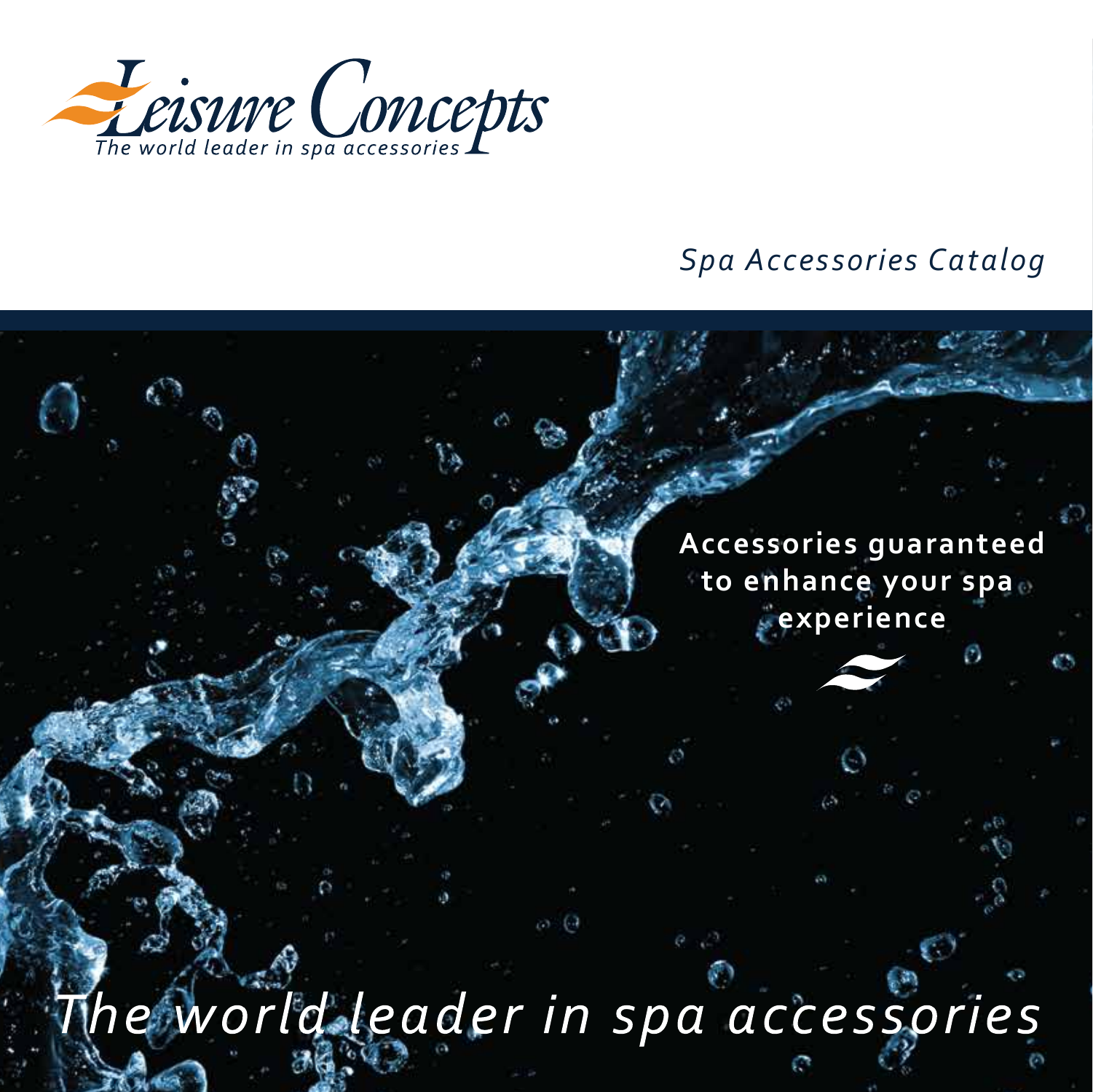

#### *Spa Accessories Catalog*

**Accessories guaranteed to enhance your spa experience**

he world leader in spa accessories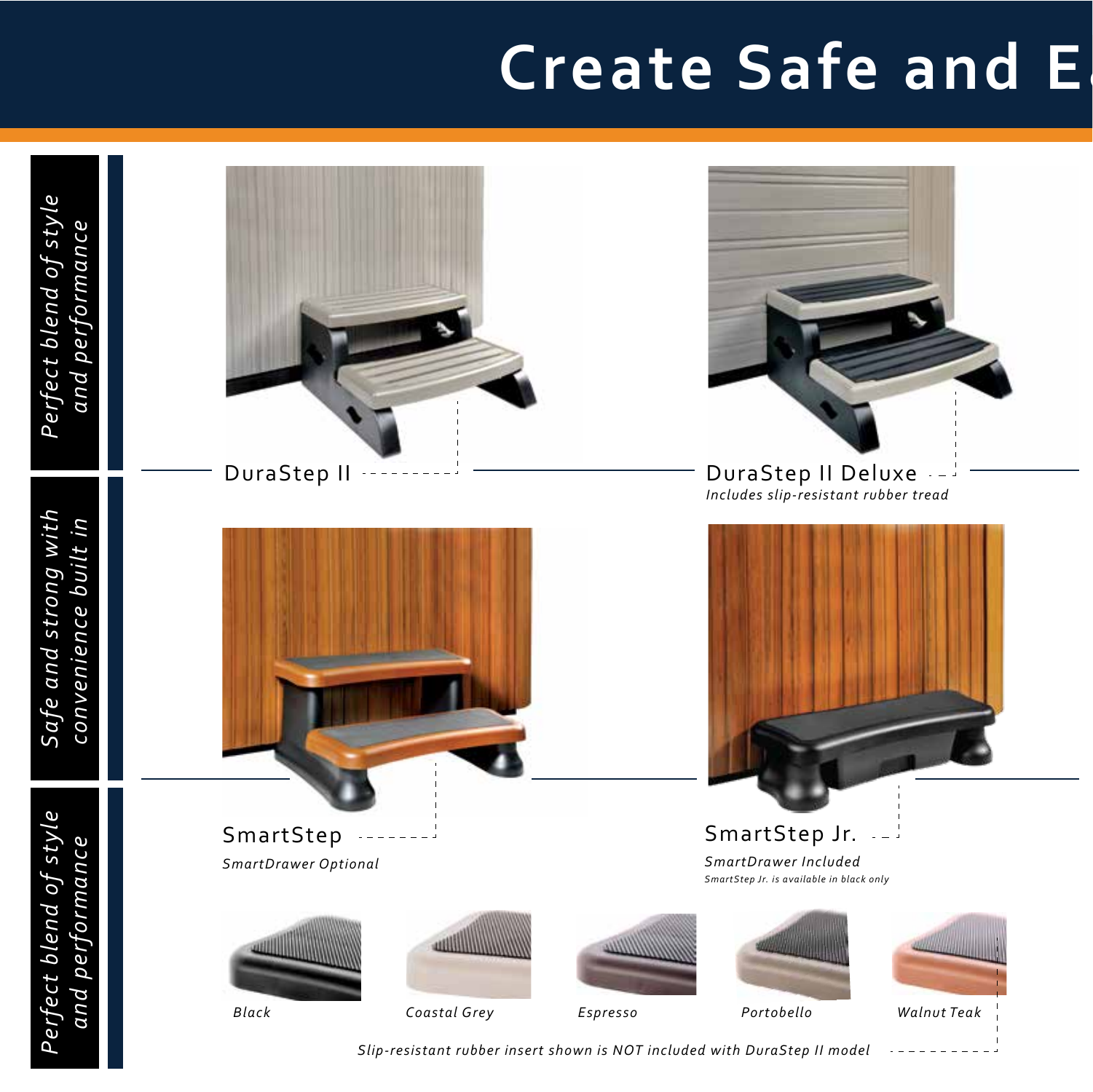# **Create Safe and E**



*Slip-resistant rubber insert shown is NOT included with DuraStep II model*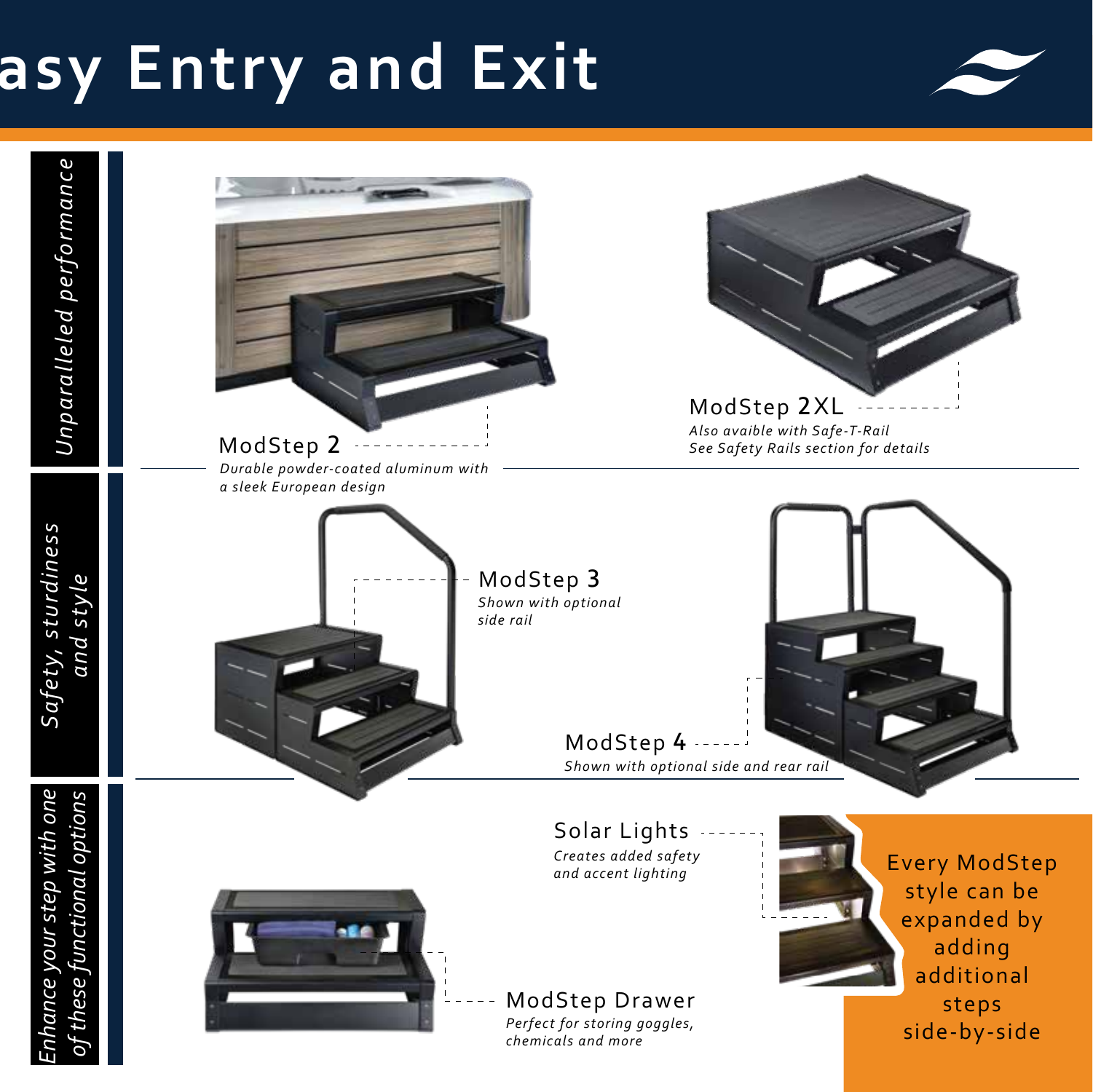# **Create Safe and Easy Entry and Exit**







Solar Lights *Creates added safety and accent lighting*

ModStep Drawer *Perfect for storing goggles, chemicals and more*

Every ModStep style can be expanded by adding additional steps side-by-side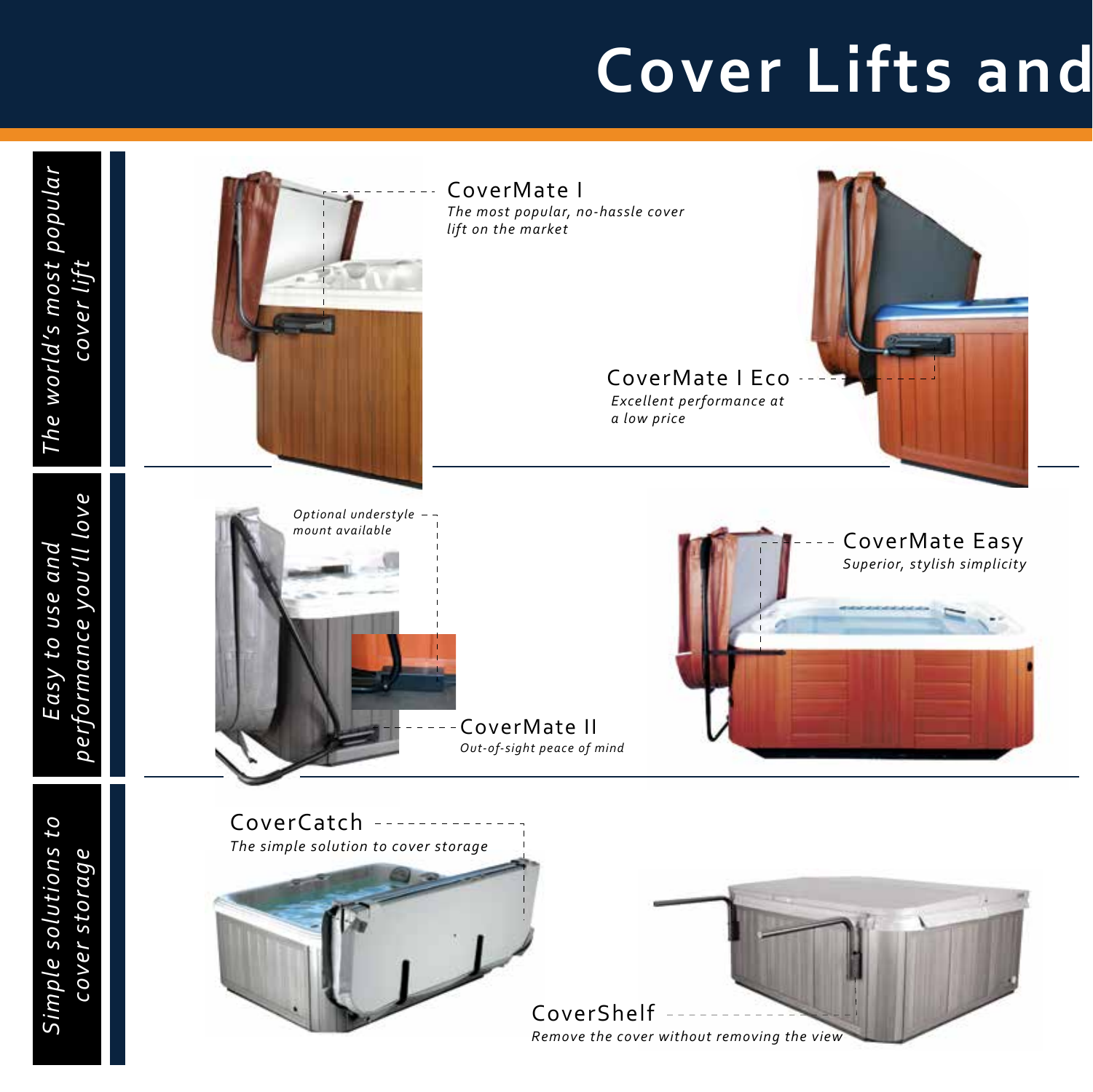## **Cover Lifts and**

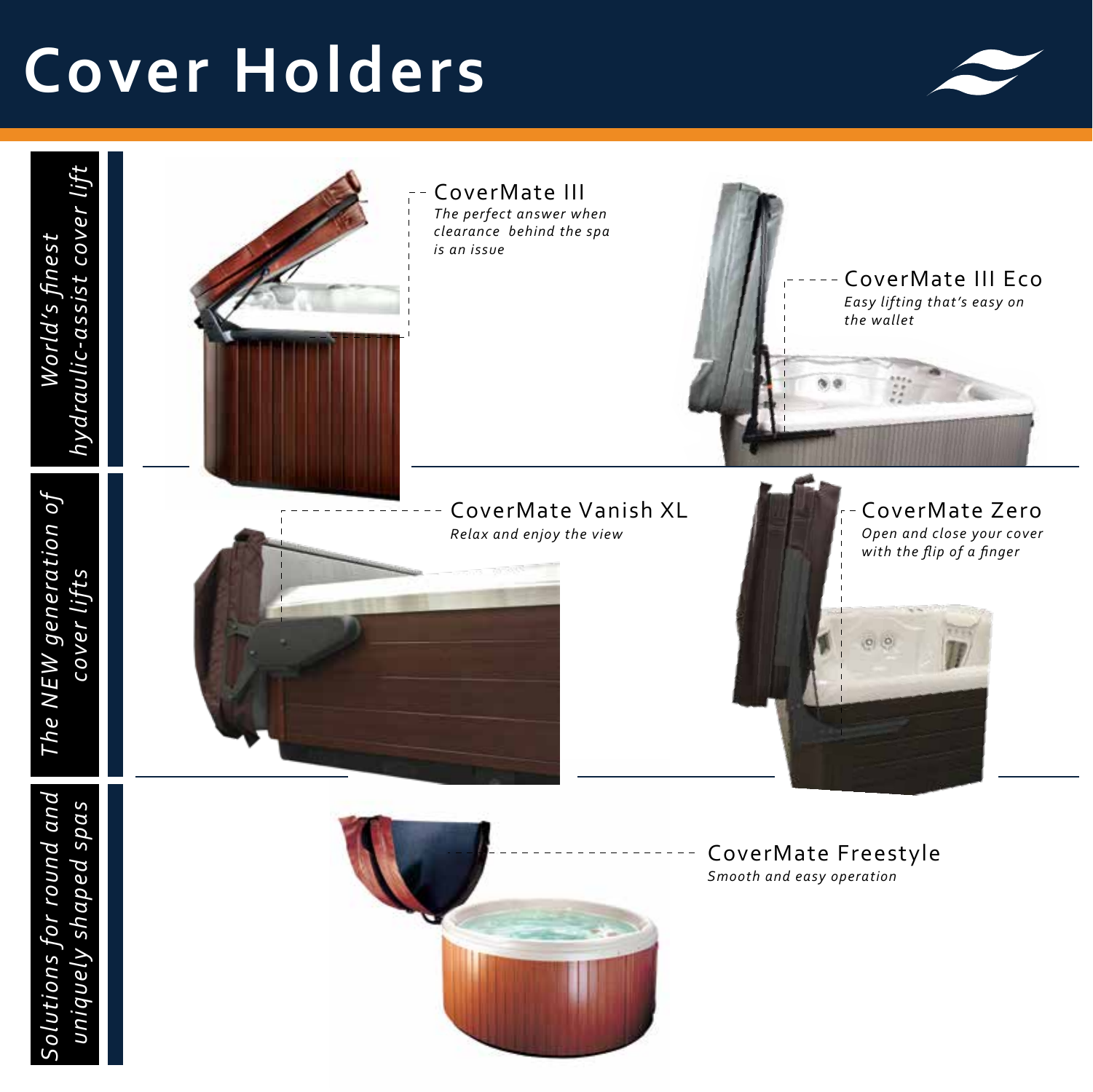# **Cover Holders**



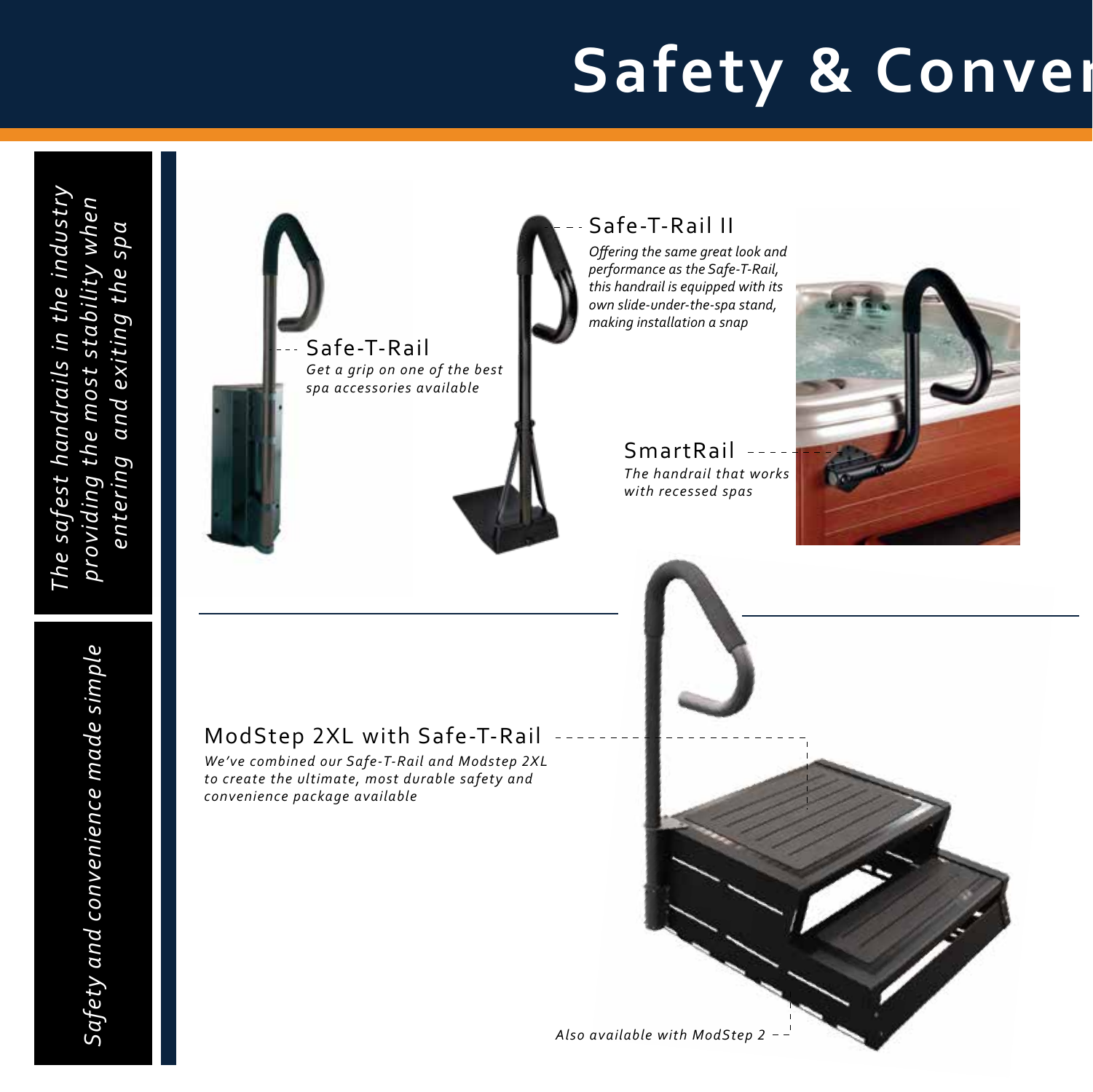# **Safety & Conver**

*The safest handrails in the industry*  The safest handrails in the industry *providing the most stability when*  providing the most stability when<br>entering and exiting the spa *entering and exiting the spa*



#### Safe-T-Rail II

*Offering the same great look and performance as the Safe-T-Rail, this handrail is equipped with its own slide-under-the-spa stand, making installation a snap* 

> SmartRail *The handrail that works with recessed spas*



### ModStep 2XL with Safe-T-Rail

*We've combined our Safe-T-Rail and Modstep 2XL to create the ultimate, most durable safety and convenience package available*

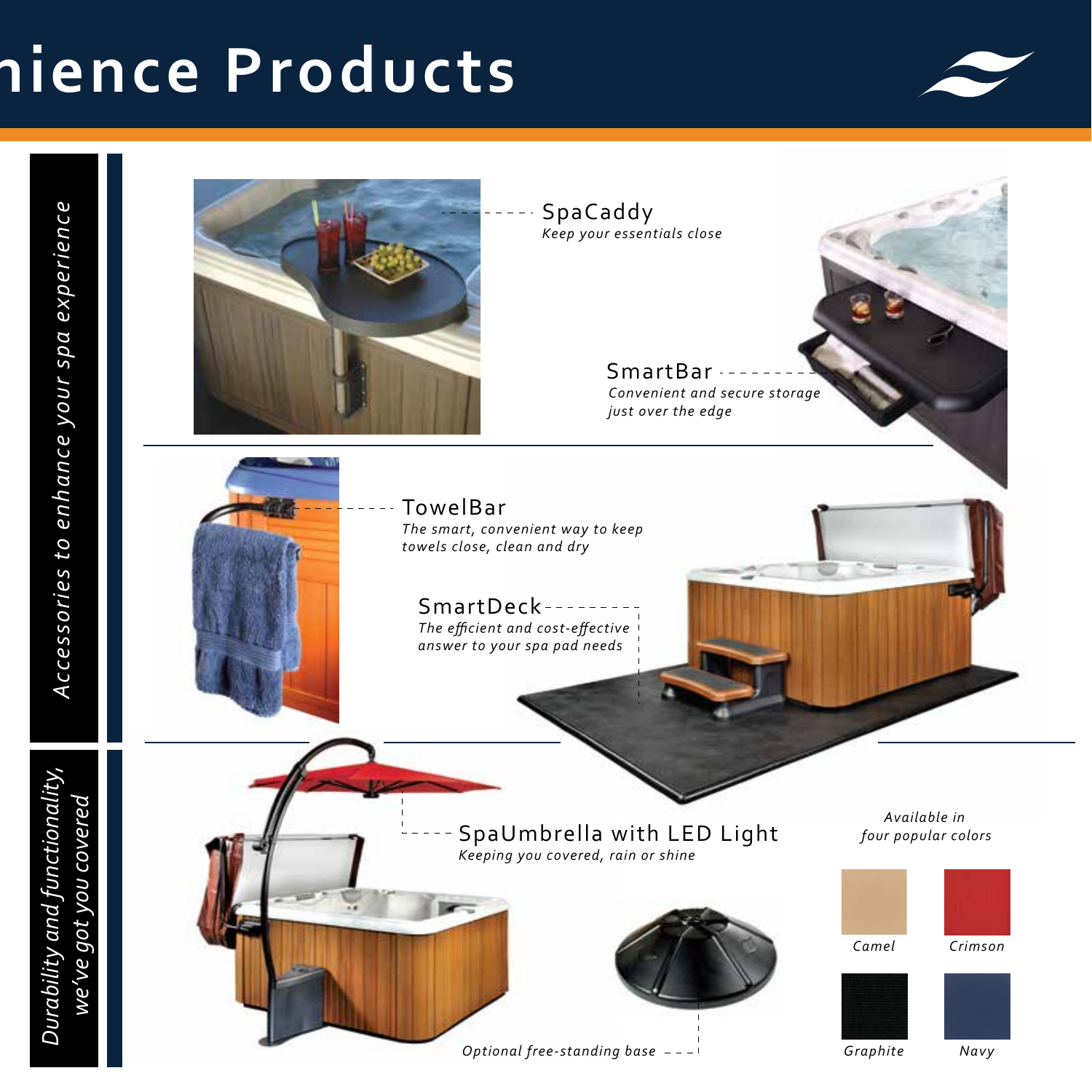# **Sience Products**



Durability and functionality,